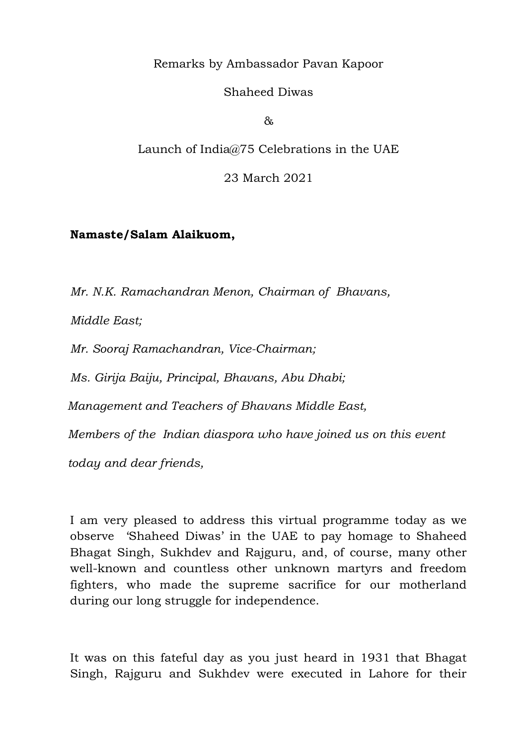Remarks by Ambassador Pavan Kapoor

Shaheed Diwas

&

Launch of India@75 Celebrations in the UAE

23 March 2021

## **Namaste/Salam Alaikuom,**

*Mr. N.K. Ramachandran Menon, Chairman of Bhavans,* 

*Middle East;*

*Mr. Sooraj Ramachandran, Vice-Chairman;*

*Ms. Girija Baiju, Principal, Bhavans, Abu Dhabi;*

*Management and Teachers of Bhavans Middle East,* 

*Members of the Indian diaspora who have joined us on this event*

*today and dear friends,* 

I am very pleased to address this virtual programme today as we observe 'Shaheed Diwas' in the UAE to pay homage to Shaheed Bhagat Singh, Sukhdev and Rajguru, and, of course, many other well-known and countless other unknown martyrs and freedom fighters, who made the supreme sacrifice for our motherland during our long struggle for independence.

It was on this fateful day as you just heard in 1931 that Bhagat Singh, Rajguru and Sukhdev were executed in Lahore for their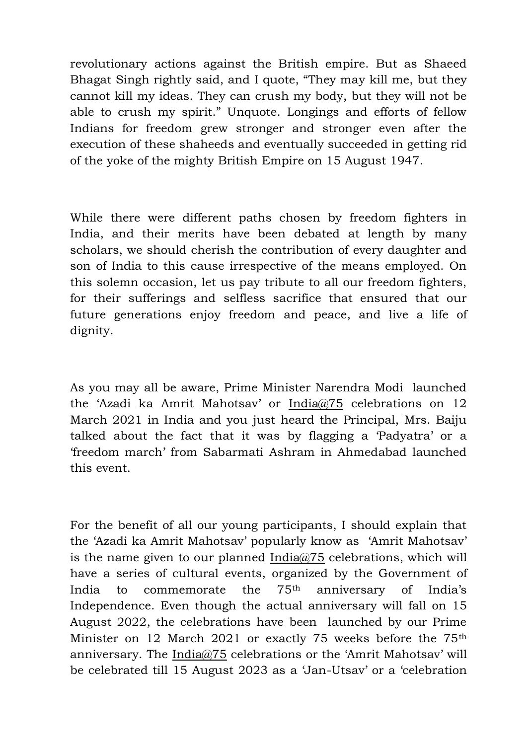revolutionary actions against the British empire. But as Shaeed Bhagat Singh rightly said, and I quote, "They may kill me, but they cannot kill my ideas. They can crush my body, but they will not be able to crush my spirit." Unquote. Longings and efforts of fellow Indians for freedom grew stronger and stronger even after the execution of these shaheeds and eventually succeeded in getting rid of the yoke of the mighty British Empire on 15 August 1947.

While there were different paths chosen by freedom fighters in India, and their merits have been debated at length by many scholars, we should cherish the contribution of every daughter and son of India to this cause irrespective of the means employed. On this solemn occasion, let us pay tribute to all our freedom fighters, for their sufferings and selfless sacrifice that ensured that our future generations enjoy freedom and peace, and live a life of dignity.

As you may all be aware, Prime Minister Narendra Modi launched the 'Azadi ka Amrit Mahotsav' or India@75 celebrations on 12 March 2021 in India and you just heard the Principal, Mrs. Baiju talked about the fact that it was by flagging a 'Padyatra' or a 'freedom march' from Sabarmati Ashram in Ahmedabad launched this event.

For the benefit of all our young participants, I should explain that the 'Azadi ka Amrit Mahotsav' popularly know as 'Amrit Mahotsav' is the name given to our planned India $@75$  celebrations, which will have a series of cultural events, organized by the Government of India to commemorate the 75th anniversary of India's Independence. Even though the actual anniversary will fall on 15 August 2022, the celebrations have been launched by our Prime Minister on 12 March 2021 or exactly 75 weeks before the 75th anniversary. The India@75 celebrations or the 'Amrit Mahotsav' will be celebrated till 15 August 2023 as a 'Jan-Utsav' or a 'celebration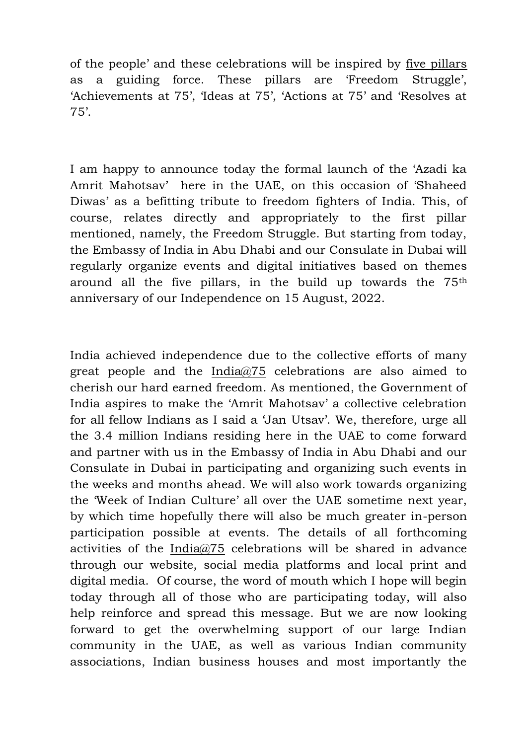of the people' and these celebrations will be inspired by five pillars as a guiding force. These pillars are 'Freedom Struggle', 'Achievements at 75', 'Ideas at 75', 'Actions at 75' and 'Resolves at 75'.

I am happy to announce today the formal launch of the 'Azadi ka Amrit Mahotsav' here in the UAE, on this occasion of 'Shaheed Diwas' as a befitting tribute to freedom fighters of India. This, of course, relates directly and appropriately to the first pillar mentioned, namely, the Freedom Struggle. But starting from today, the Embassy of India in Abu Dhabi and our Consulate in Dubai will regularly organize events and digital initiatives based on themes around all the five pillars, in the build up towards the 75th anniversary of our Independence on 15 August, 2022.

India achieved independence due to the collective efforts of many great people and the India $\omega/25$  celebrations are also aimed to cherish our hard earned freedom. As mentioned, the Government of India aspires to make the 'Amrit Mahotsav' a collective celebration for all fellow Indians as I said a 'Jan Utsav'. We, therefore, urge all the 3.4 million Indians residing here in the UAE to come forward and partner with us in the Embassy of India in Abu Dhabi and our Consulate in Dubai in participating and organizing such events in the weeks and months ahead. We will also work towards organizing the 'Week of Indian Culture' all over the UAE sometime next year, by which time hopefully there will also be much greater in-person participation possible at events. The details of all forthcoming activities of the India@75 celebrations will be shared in advance through our website, social media platforms and local print and digital media. Of course, the word of mouth which I hope will begin today through all of those who are participating today, will also help reinforce and spread this message. But we are now looking forward to get the overwhelming support of our large Indian community in the UAE, as well as various Indian community associations, Indian business houses and most importantly the